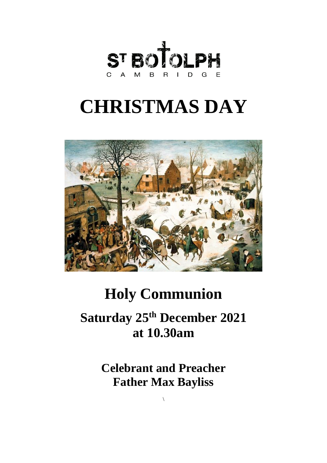

# **CHRISTMAS DAY**



# **Holy Communion**

# **Saturday 25 th December 2021 at 10.30am**

**Celebrant and Preacher Father Max Bayliss**

\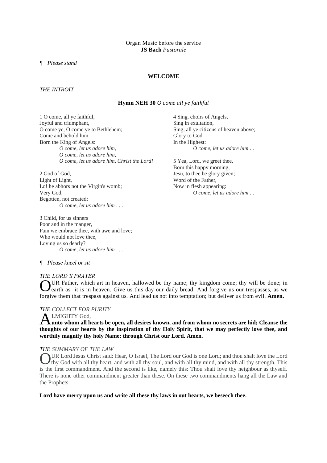#### Organ Music before the service **JS Bach** *Pastorale*

*¶ Please stand*

# **WELCOME**

#### *THE INTROIT*

#### **Hymn NEH 30** *O come all ye faithful*

1 O come, all ye faithful, Joyful and triumphant, O come ye, O come ye to Bethlehem; Come and behold him Born the King of Angels: *O come, let us adore him, O come, let us adore him, O come, let us adore him, Christ the Lord!*

2 God of God, Light of Light, Lo! he abhors not the Virgin's womb; Very God, Begotten, not created: *O come, let us adore him* . . .

3 Child, for us sinners Poor and in the manger, Fain we embrace thee, with awe and love; Who would not love thee, Loving us so dearly? *O come, let us adore him* . . .

4 Sing, choirs of Angels, Sing in exultation, Sing, all ye citizens of heaven above; Glory to God In the Highest: *O come, let us adore him* . . .

5 Yea, Lord, we greet thee, Born this happy morning, Jesu, to thee be glory given; Word of the Father, Now in flesh appearing: *O come, let us adore him* . . .

#### *¶ Please kneel or sit*

#### *THE LORD'S PRAYER*

UR Father, which art in heaven, hallowed be thy name; thy kingdom come; thy will be done; in earth as it is in heaven. Give us this day our daily bread. And forgive us our trespasses, as we earth as it is in heaven. Give us this day our daily bread. And forgive us our trespasses, as we forgive them that trespass against us. And lead us not into temptation; but deliver us from evil. **Amen.**

# *THE COLLECT FOR PURITY*

# LMIGHTY God,

**A** LMIGHTY God,<br>**A** unto whom all hearts be open, all desires known, and from whom no secrets are hid; Cleanse the **thoughts of our hearts by the inspiration of thy Holy Spirit, that we may perfectly love thee, and worthily magnify thy holy Name; through Christ our Lord. Amen.**

#### *THE SUMMARY OF THE LAW*

OUR Lord Jesus Christ said: Hear, O Israel, The Lord our God is one Lord; and thou shalt love the Lord thy God with all thy heart, and with all thy soul, and with all thy mind, and with all thy strength. This thy God with all thy heart, and with all thy soul, and with all thy mind, and with all thy strength. This is the first commandment. And the second is like, namely this: Thou shalt love thy neighbour as thyself. There is none other commandment greater than these. On these two commandments hang all the Law and the Prophets.

**Lord have mercy upon us and write all these thy laws in out hearts, we beseech thee.**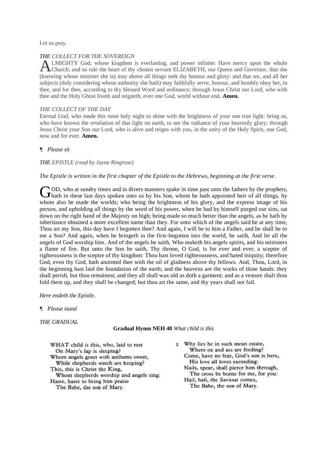Let us pray.

#### *THE COLLECT FOR THE SOVEREIGN*

LMIGHTY God, whose kingdom is everlasting, and power infinite: Have mercy upon the whole **ALMIGHTY** God, whose kingdom is everlasting, and power infinite: Have mercy upon the whole Church; and so rule the heart of thy chosen servant ELIZABETH, our Queen and Governor, that she (knowing whose minister she is) may above all things seek thy honour and glory: and that we, and all her subjects (duly considering whose authority she hath) may faithfully serve, honour, and humbly obey her, in thee, and for thee, according to thy blessed Word and ordinance; through Jesus Christ our Lord, who with thee and the Holy Ghost liveth and reigneth, ever one God, world without end. **Amen.**

#### *THE COLLECT OF THE DAY*

Eternal God, who made this most holy night to shine with the brightness of your one true light: bring us, who have known the revelation of that light on earth, to see the radiance of your heavenly glory; through Jesus Christ your Son our Lord, who is alive and reigns with you, in the unity of the Holy Spirit, one God, now and for ever. **Amen.**

#### *¶ Please sit*

#### *THE EPISTLE (read by Jayne Ringrose)*

#### *The Epistle is written in the first chapter of the Epistle to the Hebrews, beginning at the first verse.*

OD, who at sundry times and in divers manners spake in time past unto the fathers by the prophets, COD, who at sundry times and in divers manners spake in time past unto the fathers by the prophets, thath in these last days spoken unto us by his Son, whom he hath appointed heir of all things, by whom also he made the worlds; who being the brightness of his glory, and the express image of his person, and upholding all things by the word of his power, when he had by himself purged our sins, sat down on the right hand of the Majesty on high; being made so much better than the angels, as he hath by inheritance obtained a more excellent name than they. For unto which of the angels said he at any time, Thou art my Son, this day have I begotten thee? And again, I will be to him a Father, and he shall be to me a Son? And again, when he bringeth in the first-begotten into the world, he saith, And let all the angels of God worship him. And of the angels he saith, Who maketh his angels spirits, and his ministers a flame of fire. But unto the Son he saith, Thy throne, O God, is for ever and ever; a sceptre of righteousness is the sceptre of thy kingdom: Thou hast loved righteousness, and hated iniquity; therefore God, even thy God, hath anointed thee with the oil of gladness above thy fellows. And, Thou, Lord, in the beginning hast laid the foundation of the earth; and the heavens are the works of thine hands: they shall perish, but thou remainest; and they all shall wax old as doth a garment; and as a vesture shalt thou fold them up, and they shall be changed; but thou art the same, and thy years shall not fail.

#### *Here endeth the Epistle.*

*¶ Please stand*

*THE GRADUAL*

#### **Gradual Hymn NEH 40** *What child is this*

WHAT child is this, who, laid to rest On Mary's lap is sleeping? Whom angels greet with anthems sweet, While shepherds watch are keeping? This, this is Christ the King, Whom shepherds worship and angels sing: Haste, haste to bring him praise The Babe, the son of Mary.

- 2 Why lies he in such mean estate, Where ox and ass are feeding? Come, have no fear, God's son is here, His love all loves exceeding:
	- Nails, spear, shall pierce him through, The cross be borne for me, for you:
	- Hail, hail, the Saviour comes, The Babe, the son of Mary.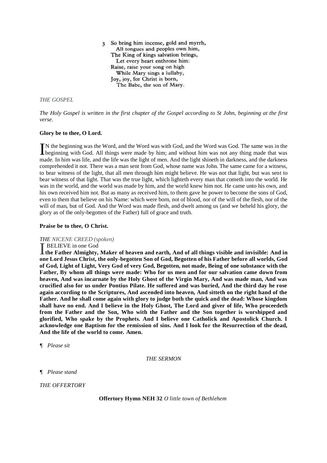3 So bring him incense, gold and myrrh, All tongues and peoples own him, The King of kings salvation brings, Let every heart enthrone him: Raise, raise your song on high While Mary sings a lullaby, Joy, joy, for Christ is born, The Babe, the son of Mary.

# *THE GOSPEL*

*The Holy Gospel is written in the first chapter of the Gospel according to St John, beginning at the first verse.*

#### **Glory be to thee, O Lord.**

N the beginning was the Word, and the Word was with God, and the Word was God. The same was in the IN the beginning was the Word, and the Word was with God, and the Word was God. The same was in the beginning with God. All things were made by him; and without him was not any thing made that was made. In him was life, and the life was the light of men. And the light shineth in darkness, and the darkness comprehended it not. There was a man sent from God, whose name was John. The same came for a witness, to bear witness of the light, that all men through him might believe. He was not that light, but was sent to bear witness of that light. That was the true light, which lighteth every man that cometh into the world. He was in the world, and the world was made by him, and the world knew him not. He came unto his own, and his own received him not. But as many as received him, to them gave he power to become the sons of God, even to them that believe on his Name: which were born, not of blood, nor of the will of the flesh, nor of the will of man, but of God. And the Word was made flesh, and dwelt among us (and we beheld his glory, the glory as of the only-begotten of the Father) full of grace and truth.

#### **Praise be to thee, O Christ.**

#### *THE NICENE CREED (spoken)*

#### **BELIEVE** in one God

**the Father Almighty, Maker of heaven and earth, And of all things visible and invisible: And in <br>The Father Almighty, Maker of heaven and earth, And of all things visible and invisible: And in one Lord Jesus Christ, the only-begotten Son of God, Begotten of his Father before all worlds, God of God, Light of Light, Very God of very God, Begotten, not made, Being of one substance with the Father, By whom all things were made: Who for us men and for our salvation came down from heaven, And was incarnate by the Holy Ghost of the Virgin Mary, And was made man, And was crucified also for us under Pontius Pilate. He suffered and was buried, And the third day he rose again according to the Scriptures, And ascended into heaven, And sitteth on the right hand of the Father. And he shall come again with glory to judge both the quick and the dead: Whose kingdom shall have no end. And I believe in the Holy Ghost, The Lord and giver of life, Who proceedeth from the Father and the Son, Who with the Father and the Son together is worshipped and glorified, Who spake by the Prophets. And I believe one Catholick and Apostolick Church. I acknowledge one Baptism for the remission of sins. And I look for the Resurrection of the dead, And the life of the world to come. Amen.**

*¶ Please sit*

*THE SERMON*

*¶ Please stand*

*THE OFFERTORY*

**Offertory Hymn NEH 32** *O little town of Bethlehem*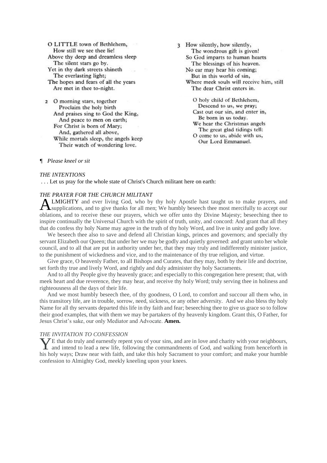O LITTLE town of Bethlehem, How still we see thee lie! Above thy deep and dreamless sleep The silent stars go by. Yet in thy dark streets shineth The everlasting light; The hopes and fears of all the years Are met in thee to-night.

2 O morning stars, together Proclaim the holy birth And praises sing to God the King, And peace to men on earth; For Christ is born of Mary; And, gathered all above, While mortals sleep, the angels keep Their watch of wondering love.

3 How silently, how silently, The wondrous gift is given! So God imparts to human hearts The blessings of his heaven. No ear may hear his coming; But in this world of sin, Where meek souls will receive him, still The dear Christ enters in.

O holy child of Bethlehem, Descend to us, we pray; Cast out our sin, and enter in, Be born in us today. We hear the Christmas angels The great glad tidings tell: O come to us, abide with us,

Our Lord Emmanuel.

# *¶ Please kneel or sit*

#### *THE INTENTIONS*

. . . Let us pray for the whole state of Christ's Church militant here on earth:

# *THE PRAYER FOR THE CHURCH MILITANT*

LMIGHTY and ever living God, who by thy holy Apostle hast taught us to make prayers, and **ALMIGHTY** and ever living God, who by thy holy Apostle hast taught us to make prayers, and supplications, and to give thanks for all men; We humbly beseech thee most mercifully to accept our oblations, and to receive these our prayers, which we offer unto thy Divine Majesty; beseeching thee to inspire continually the Universal Church with the spirit of truth, unity, and concord: And grant that all they that do confess thy holy Name may agree in the truth of thy holy Word, and live in unity and godly love.

We beseech thee also to save and defend all Christian kings, princes and governors; and specially thy servant Elizabeth our Queen; that under her we may be godly and quietly governed: and grant unto her whole council, and to all that are put in authority under her, that they may truly and indifferently minister justice, to the punishment of wickedness and vice, and to the maintenance of thy true religion, and virtue.

Give grace, O heavenly Father, to all Bishops and Curates, that they may, both by their life and doctrine, set forth thy true and lively Word, and rightly and duly administer thy holy Sacraments.

And to all thy People give thy heavenly grace; and especially to this congregation here present; that, with meek heart and due reverence, they may hear, and receive thy holy Word; truly serving thee in holiness and righteousness all the days of their life.

And we most humbly beseech thee, of thy goodness, O Lord, to comfort and succour all them who, in this transitory life, are in trouble, sorrow, need, sickness, or any other adversity. And we also bless thy holy Name for all thy servants departed this life in thy faith and fear; beseeching thee to give us grace so to follow their good examples, that with them we may be partakers of thy heavenly kingdom. Grant this, O Father, for Jesus Christ's sake, our only Mediator and Advocate. **Amen.** 

#### *THE INVITATION TO CONFESSION*

 $\overline{Z}$  E that do truly and earnestly repent you of your sins, and are in love and charity with your neighbours, The that do truly and earnestly repent you of your sins, and are in love and charity with your neighbours, and intend to lead a new life, following the commandments of God, and walking from henceforth in his holy ways; Draw near with faith, and take this holy Sacrament to your comfort; and make your humble confession to Almighty God, meekly kneeling upon your knees.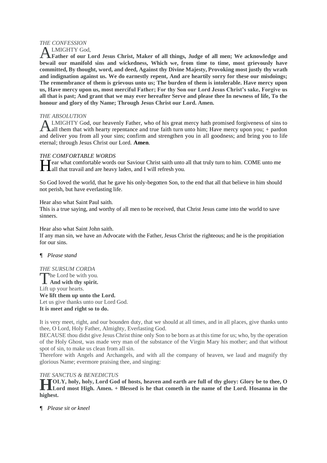# *THE CONFESSION*

LMIGHTY God,

**Father of our Lord Jesus Christ, Maker of all things, Judge of all men; We acknowledge and bewail our manifold sins and wickedness, Which we, from time to time, most grievously have committed, By thought, word, and deed, Against thy Divine Majesty, Provoking most justly thy wrath and indignation against us. We do earnestly repent, And are heartily sorry for these our misdoings; The remembrance of them is grievous unto us; The burden of them is intolerable. Have mercy upon us, Have mercy upon us, most merciful Father; For thy Son our Lord Jesus Christ's sake, Forgive us all that is past; And grant that we may ever hereafter Serve and please thee In newness of life, To the honour and glory of thy Name; Through Jesus Christ our Lord. Amen.**  A

# *THE ABSOLUTION*

LMIGHTY God, our heavenly Father, who of his great mercy hath promised forgiveness of sins to  $\Delta$ all them that with hearty repentance and true faith turn unto him; Have mercy upon you; + pardon and deliver you from all your sins; confirm and strengthen you in all goodness; and bring you to life eternal; through Jesus Christ our Lord. **Amen**. A

# *THE COMFORTABLE WORDS*

Tear what comfortable words our Saviour Christ saith unto all that truly turn to him. COME unto me **Hear** what comfortable words our Saviour Christ saith unto<br>
all that travail and are heavy laden, and I will refresh you.

So God loved the world, that he gave his only-begotten Son, to the end that all that believe in him should not perish, but have everlasting life.

Hear also what Saint Paul saith.

This is a true saying, and worthy of all men to be received, that Christ Jesus came into the world to save sinners.

Hear also what Saint John saith.

If any man sin, we have an Advocate with the Father, Jesus Christ the righteous; and he is the propitiation for our sins.

# *¶ Please stand*

# *THE SURSUM CORDA*

The Lord be with you. **And with thy spirit.** Lift up your hearts. **We lift them up unto the Lord.** Let us give thanks unto our Lord God. **It is meet and right so to do.** 

It is very meet, right, and our bounden duty, that we should at all times, and in all places, give thanks unto thee, O Lord, Holy Father, Almighty, Everlasting God.

BECAUSE thou didst give Jesus Christ thine only Son to be born as at this time for us; who, by the operation of the Holy Ghost, was made very man of the substance of the Virgin Mary his mother; and that without spot of sin, to make us clean from all sin.

Therefore with Angels and Archangels, and with all the company of heaven, we laud and magnify thy glorious Name; evermore praising thee, and singing:

# *THE SANCTUS & BENEDICTUS*

**OLY, holy, holy, Lord God of hosts, heaven and earth are full of thy glory: Glory be to thee, O Lord most High. Amen. + Blessed is he that cometh in the name of the Lord. Hosanna in the highest. H**

*¶ Please sit or kneel*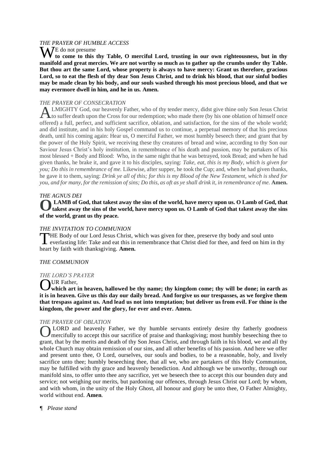# *THE PRAYER OF HUMBLE ACCESS*

W<sup>E do not presume</sup> **to come to this thy Table, O merciful Lord, trusting in our own righteousness, but in thy manifold and great mercies. We are not worthy so much as to gather up the crumbs under thy Table. But thou art the same Lord, whose property is always to have mercy: Grant us therefore, gracious Lord, so to eat the flesh of thy dear Son Jesus Christ, and to drink his blood, that our sinful bodies may be made clean by his body, and our souls washed through his most precious blood, and that we may evermore dwell in him, and he in us. Amen.**

# *THE PRAYER OF CONSECRATION*

LMIGHTY God, our heavenly Father, who of thy tender mercy, didst give thine only Son Jesus Christ ALMIGHTY God, our heavenly Father, who of thy tender mercy, didst give thine only Son Jesus Christ<br>to suffer death upon the Cross for our redemption; who made there (by his one oblation of himself once offered) a full, perfect, and sufficient sacrifice, oblation, and satisfaction, for the sins of the whole world; and did institute, and in his holy Gospel command us to continue, a perpetual memory of that his precious death, until his coming again: Hear us, O merciful Father, we most humbly beseech thee; and grant that by the power of the Holy Spirit, we receiving these thy creatures of bread and wine, according to thy Son our Saviour Jesus Christ's holy institution, in remembrance of his death and passion, may be partakers of his most blessed + Body and Blood: Who, in the same night that he was betrayed, took Bread; and when he had given thanks, he brake it, and gave it to his disciples, saying: *Take, eat, this is my Body, which is given for you; Do this in remembrance of me.* Likewise, after supper, he took the Cup; and, when he had given thanks, he gave it to them, saying: *Drink ye all of this; for this is my Blood of the New Testament, which is shed for you, and for many, for the remission of sins; Do this, as oft as ye shall drink it, in remembrance of me.* **Amen.**

# *THE AGNUS DEI*

**LAMB of God, that takest away the sins of the world, have mercy upon us. O Lamb of God, that O takest away the sins of the world, have mercy upon us. O Lamb of God that takest away the sins of the world, grant us thy peace.** 

# *THE INVITATION TO COMMUNION*

HE Body of our Lord Jesus Christ, which was given for thee, preserve thy body and soul unto THE Body of our Lord Jesus Christ, which was given for thee, preserve thy body and soul unto<br>
everlasting life: Take and eat this in remembrance that Christ died for thee, and feed on him in thy heart by faith with thanksgiving. **Amen.**

#### *THE COMMUNION*

#### *THE LORD'S PRAYER*

**NUR Father,** 

**which art in heaven, hallowed be thy name; thy kingdom come; thy will be done; in earth as it is in heaven. Give us this day our daily bread. And forgive us our trespasses, as we forgive them that trespass against us. And lead us not into temptation; but deliver us from evil. For thine is the kingdom, the power and the glory, for ever and ever. Amen.** O

#### *THE PRAYER OF OBLATION*

LORD and heavenly Father, we thy humble servants entirely desire thy fatherly goodness **OLORD** and heavenly Father, we thy humble servants entirely desire thy fatherly goodness mercifully to accept this our sacrifice of praise and thanksgiving; most humbly beseeching thee to grant, that by the merits and death of thy Son Jesus Christ, and through faith in his blood, we and all thy whole Church may obtain remission of our sins, and all other benefits of his passion. And here we offer and present unto thee, O Lord, ourselves, our souls and bodies, to be a reasonable, holy, and lively sacrifice unto thee; humbly beseeching thee, that all we, who are partakers of this Holy Communion, may be fulfilled with thy grace and heavenly benediction. And although we be unworthy, through our manifold sins, to offer unto thee any sacrifice, yet we beseech thee to accept this our bounden duty and service; not weighing our merits, but pardoning our offences, through Jesus Christ our Lord; by whom, and with whom, in the unity of the Holy Ghost, all honour and glory be unto thee, O Father Almighty, world without end. **Amen**.

*¶ Please stand*